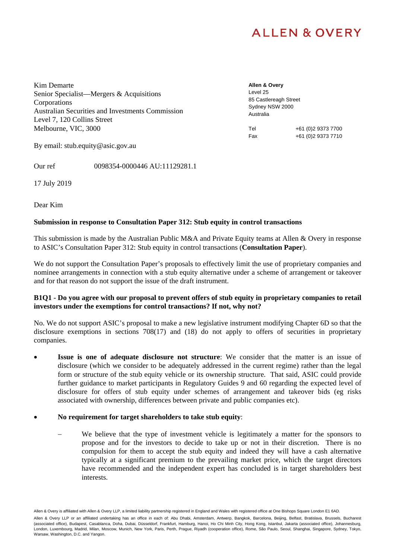Kim Demarte Senior Specialist—Mergers & Acquisitions **Corporations** Australian Securities and Investments Commission Level 7, 120 Collins Street Melbourne, VIC, 3000

**Allen & Overy**  Level 25 85 Castlereagh Street Sydney NSW 2000 Australia

Tel +61 (0)2 9373 7700 Fax +61 (0)2 9373 7710

By email: stub.equity@asic.gov.au

Our ref 0098354-0000446 AU:11129281.1

17 July 2019

Dear Kim

### **Submission in response to Consultation Paper 312: Stub equity in control transactions**

This submission is made by the Australian Public M&A and Private Equity teams at Allen & Overy in response to ASIC's Consultation Paper 312: Stub equity in control transactions (**Consultation Paper**).

We do not support the Consultation Paper's proposals to effectively limit the use of proprietary companies and nominee arrangements in connection with a stub equity alternative under a scheme of arrangement or takeover and for that reason do not support the issue of the draft instrument.

### **B1Q1 - Do you agree with our proposal to prevent offers of stub equity in proprietary companies to retail investors under the exemptions for control transactions? If not, why not?**

No. We do not support ASIC's proposal to make a new legislative instrument modifying Chapter 6D so that the disclosure exemptions in sections 708(17) and (18) do not apply to offers of securities in proprietary companies.

 **Issue is one of adequate disclosure not structure**: We consider that the matter is an issue of disclosure (which we consider to be adequately addressed in the current regime) rather than the legal form or structure of the stub equity vehicle or its ownership structure. That said, ASIC could provide further guidance to market participants in Regulatory Guides 9 and 60 regarding the expected level of disclosure for offers of stub equity under schemes of arrangement and takeover bids (eg risks associated with ownership, differences between private and public companies etc).

### **No requirement for target shareholders to take stub equity**:

 We believe that the type of investment vehicle is legitimately a matter for the sponsors to propose and for the investors to decide to take up or not in their discretion. There is no compulsion for them to accept the stub equity and indeed they will have a cash alternative typically at a significant premium to the prevailing market price, which the target directors have recommended and the independent expert has concluded is in target shareholders best interests.

Allen & Overy is affiliated with Allen & Overy LLP, a limited liability partnership registered in England and Wales with registered office at One Bishops Square London E1 6AD.

Allen & Overy LLP or an affiliated undertaking has an office in each of: Abu Dhabi, Amsterdam, Antwerp, Bangkok, Barcelona, Beijing, Belfast, Bratislava, Brussels, Bucharest (associated office), Budapest, Casablanca, Doha, Dubai, Düsseldorf, Frankfurt, Hamburg, Hanoi, Ho Chi Minh City, Hong Kong, Istanbul, Jakarta (associated office), Johannesburg, London, Luxembourg, Madrid, Milan, Moscow, Munich, New York, Paris, Perth, Prague, Riyadh (cooperation office), Rome, São Paulo, Seoul, Shanghai, Singapore, Sydney, Tokyo, Warsaw, Washington, D.C. and Yangon.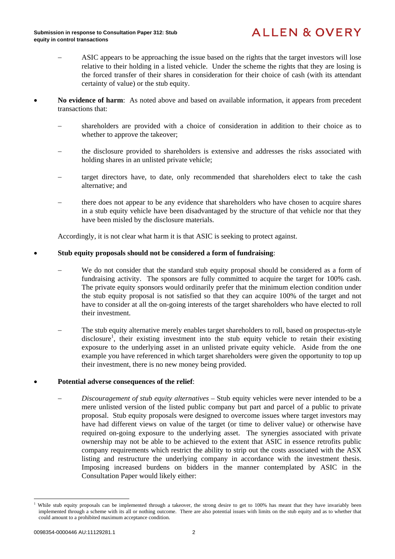- ASIC appears to be approaching the issue based on the rights that the target investors will lose relative to their holding in a listed vehicle. Under the scheme the rights that they are losing is the forced transfer of their shares in consideration for their choice of cash (with its attendant certainty of value) or the stub equity.
- **No evidence of harm**: As noted above and based on available information, it appears from precedent transactions that:
	- shareholders are provided with a choice of consideration in addition to their choice as to whether to approve the takeover;
	- the disclosure provided to shareholders is extensive and addresses the risks associated with holding shares in an unlisted private vehicle;
	- target directors have, to date, only recommended that shareholders elect to take the cash alternative; and
	- there does not appear to be any evidence that shareholders who have chosen to acquire shares in a stub equity vehicle have been disadvantaged by the structure of that vehicle nor that they have been misled by the disclosure materials.

Accordingly, it is not clear what harm it is that ASIC is seeking to protect against.

### **Stub equity proposals should not be considered a form of fundraising**:

- We do not consider that the standard stub equity proposal should be considered as a form of fundraising activity. The sponsors are fully committed to acquire the target for 100% cash. The private equity sponsors would ordinarily prefer that the minimum election condition under the stub equity proposal is not satisfied so that they can acquire 100% of the target and not have to consider at all the on-going interests of the target shareholders who have elected to roll their investment.
- The stub equity alternative merely enables target shareholders to roll, based on prospectus-style disclosure<sup>1</sup>, their existing investment into the stub equity vehicle to retain their existing exposure to the underlying asset in an unlisted private equity vehicle. Aside from the one example you have referenced in which target shareholders were given the opportunity to top up their investment, there is no new money being provided.

#### **Potential adverse consequences of the relief**:

 *Discouragement of stub equity alternatives* – Stub equity vehicles were never intended to be a mere unlisted version of the listed public company but part and parcel of a public to private proposal. Stub equity proposals were designed to overcome issues where target investors may have had different views on value of the target (or time to deliver value) or otherwise have required on-going exposure to the underlying asset. The synergies associated with private ownership may not be able to be achieved to the extent that ASIC in essence retrofits public company requirements which restrict the ability to strip out the costs associated with the ASX listing and restructure the underlying company in accordance with the investment thesis. Imposing increased burdens on bidders in the manner contemplated by ASIC in the Consultation Paper would likely either:

l

<sup>1</sup> While stub equity proposals can be implemented through a takeover, the strong desire to get to 100% has meant that they have invariably been implemented through a scheme with its all or nothing outcome. There are also potential issues with limits on the stub equity and as to whether that could amount to a prohibited maximum acceptance condition.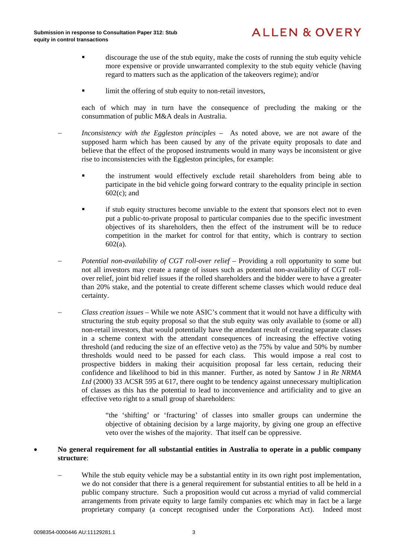- discourage the use of the stub equity, make the costs of running the stub equity vehicle more expensive or provide unwarranted complexity to the stub equity vehicle (having regard to matters such as the application of the takeovers regime); and/or
- **If** limit the offering of stub equity to non-retail investors,

each of which may in turn have the consequence of precluding the making or the consummation of public M&A deals in Australia.

- *Inconsistency with the Eggleston principles –* As noted above, we are not aware of the supposed harm which has been caused by any of the private equity proposals to date and believe that the effect of the proposed instruments would in many ways be inconsistent or give rise to inconsistencies with the Eggleston principles, for example:
	- the instrument would effectively exclude retail shareholders from being able to participate in the bid vehicle going forward contrary to the equality principle in section 602(c); and
	- if stub equity structures become unviable to the extent that sponsors elect not to even put a public-to-private proposal to particular companies due to the specific investment objectives of its shareholders, then the effect of the instrument will be to reduce competition in the market for control for that entity, which is contrary to section 602(a).
- *Potential non-availability of CGT roll-over relief Providing a roll opportunity to some but* not all investors may create a range of issues such as potential non-availability of CGT rollover relief, joint bid relief issues if the rolled shareholders and the bidder were to have a greater than 20% stake, and the potential to create different scheme classes which would reduce deal certainty.
- *Class creation issues*  While we note ASIC's comment that it would not have a difficulty with structuring the stub equity proposal so that the stub equity was only available to (some or all) non-retail investors, that would potentially have the attendant result of creating separate classes in a scheme context with the attendant consequences of increasing the effective voting threshold (and reducing the size of an effective veto) as the 75% by value and 50% by number thresholds would need to be passed for each class. This would impose a real cost to prospective bidders in making their acquisition proposal far less certain, reducing their confidence and likelihood to bid in this manner. Further, as noted by Santow J in *Re NRMA Ltd* (2000) 33 ACSR 595 at 617, there ought to be tendency against unnecessary multiplication of classes as this has the potential to lead to inconvenience and artificiality and to give an effective veto right to a small group of shareholders:

"the 'shifting' or 'fracturing' of classes into smaller groups can undermine the objective of obtaining decision by a large majority, by giving one group an effective veto over the wishes of the majority. That itself can be oppressive.

### **No general requirement for all substantial entities in Australia to operate in a public company structure**:

While the stub equity vehicle may be a substantial entity in its own right post implementation, we do not consider that there is a general requirement for substantial entities to all be held in a public company structure. Such a proposition would cut across a myriad of valid commercial arrangements from private equity to large family companies etc which may in fact be a large proprietary company (a concept recognised under the Corporations Act). Indeed most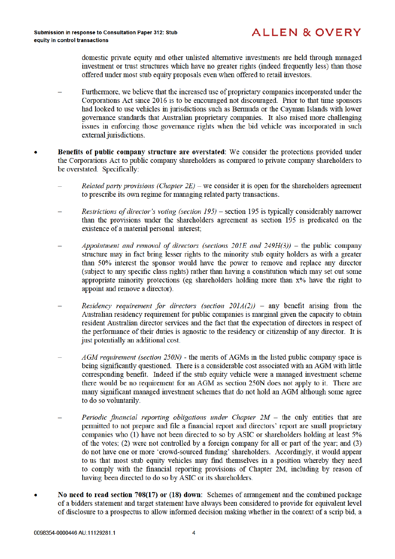domestic private equity and other unlisted alternative investments are held through managed investment or trust structures which have no greater rights (indeed frequently less) than those offered under most stub equity proposals even when offered to retail investors.

- Furthermore, we believe that the increased use of proprietary companies incorporated under the Corporations Act since 2016 is to be encouraged not discouraged. Prior to that time sponsors had looked to use vehicles in jurisdictions such as Bermuda or the Cayman Islands with lower governance standards that Australian proprietary companies. It also raised more challenging issues in enforcing those governance rights when the bid vehicle was incorporated in such external jurisdictions.
- Benefits of public company structure are overstated: We consider the protections provided under the Corporations Act to public company shareholders as compared to private company shareholders to be overstated. Specifically:
	- *Related party provisions (Chapter*  $2E$ *)* we consider it is open for the shareholders agreement to prescribe its own regime for managing related party transactions.
	- Restrictions of director's voting (section 195) section 195 is typically considerably narrower than the provisions under the shareholders agreement as section 195 is predicated on the existence of a material personal interest;
	- Appointment and removal of directors (sections  $20IE$  and  $249H(3)$ ) the public company structure may in fact bring lesser rights to the minority stub equity holders as with a greater than 50% interest the sponsor would have the power to remove and replace any director (subject to any specific class rights) rather than having a constitution which may set out some appropriate minority protections (eg shareholders holding more than x% have the right to appoint and remove a director).
	- Residency requirement for directors (section  $20IA(2)$ ) any benefit arising from the Australian residency requirement for public companies is marginal given the capacity to obtain resident Australian director services and the fact that the expectation of directors in respect of the performance of their duties is agnostic to the residency or citizenship of any director. It is just potentially an additional cost.
	- AGM requirement (section 250N) the merits of AGMs in the listed public company space is being significantly questioned. There is a considerable cost associated with an AGM with little corresponding benefit. Indeed if the stub equity vehicle were a managed investment scheme there would be no requirement for an AGM as section 250N does not apply to it. There are many significant managed investment schemes that do not hold an AGM although some agree to do so voluntarily.
	- Periodic financial reporting obligations under Chapter  $2M$  the only entities that are permitted to not prepare and file a financial report and directors' report are small proprietary companies who (1) have not been directed to so by ASIC or shareholders holding at least 5% of the votes; (2) were not controlled by a foreign company for all or part of the year; and (3) do not have one or more 'crowd-sourced funding' shareholders. Accordingly, it would appear to us that most stub equity vehicles may find themselves in a position whereby they need to comply with the financial reporting provisions of Chapter 2M, including by reason of having been directed to do so by ASIC or its shareholders.
- No need to read section 708(17) or (18) down: Schemes of arrangement and the combined package of a bidders statement and target statement have always been considered to provide for equivalent level of disclosure to a prospectus to allow informed decision making whether in the context of a scrip bid, a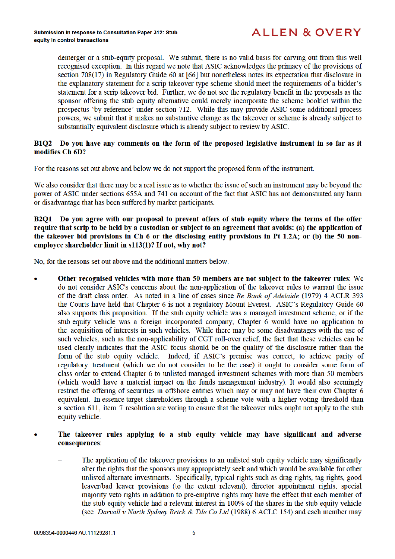demerger or a stub-equity proposal. We submit, there is no valid basis for carving out from this well recognised exception. In this regard we note that ASIC acknowledges the primacy of the provisions of section  $708(17)$  in Regulatory Guide 60 at [66] but nonetheless notes its expectation that disclosure in the explanatory statement for a scrip takeover type scheme should meet the requirements of a bidder's statement for a scrip takeover bid. Further, we do not see the regulatory benefit in the proposals as the sponsor offering the stub equity alternative could merely incorporate the scheme booklet within the prospectus 'by reference' under section 712. While this may provide ASIC some additional process powers, we submit that it makes no substantive change as the takeover or scheme is already subject to substantially equivalent disclosure which is already subject to review by ASIC.

### B1O2 - Do you have any comments on the form of the proposed legislative instrument in so far as it modifies Ch 6D?

For the reasons set out above and below we do not support the proposed form of the instrument.

We also consider that there may be a real issue as to whether the issue of such an instrument may be beyond the power of ASIC under sections 655A and 741 on account of the fact that ASIC has not demonstrated any harm or disadvantage that has been suffered by market participants.

### B2Q1 - Do you agree with our proposal to prevent offers of stub equity where the terms of the offer require that scrip to be held by a custodian or subject to an agreement that avoids: (a) the application of the takeover bid provisions in Ch 6 or the disclosing entity provisions in Pt 1.2A; or (b) the 50 nonemployee shareholder limit in s113(1)? If not, why not?

No, for the reasons set out above and the additional matters below.

- Other recognised vehicles with more than 50 members are not subject to the takeover rules: We do not consider ASIC's concerns about the non-application of the takeover rules to warrant the issue of the draft class order. As noted in a line of cases since Re Bank of Adelaide (1979) 4 ACLR 393 the Courts have held that Chapter 6 is not a regulatory Mount Everest. ASIC's Regulatory Guide 60 also supports this proposition. If the stub equity vehicle was a managed investment scheme, or if the stub equity vehicle was a foreign incorporated company, Chapter 6 would have no application to the acquisition of interests in such vehicles. While there may be some disadvantages with the use of such vehicles, such as the non-applicability of CGT roll-over relief, the fact that these vehicles can be used clearly indicates that the ASIC focus should be on the quality of the disclosure rather than the form of the stub equity vehicle. Indeed, if ASIC's premise was correct, to achieve parity of regulatory treatment (which we do not consider to be the case) it ought to consider some form of class order to extend Chapter 6 to unlisted managed investment schemes with more than 50 members (which would have a material impact on the funds management industry). It would also seemingly restrict the offering of securities in offshore entities which may or may not have their own Chapter 6 equivalent. In essence target shareholders through a scheme vote with a higher voting threshold than a section 611, item 7 resolution are voting to ensure that the takeover rules ought not apply to the stub equity vehicle.
- The takeover rules applying to a stub equity vehicle may have significant and adverse consequences:
	- The application of the takeover provisions to an unlisted stub equity vehicle may significantly alter the rights that the sponsors may appropriately seek and which would be available for other unlisted alternate investments. Specifically, typical rights such as drag rights, tag rights, good leaver/bad leaver provisions (to the extent relevant), director appointment rights, special majority veto rights in addition to pre-emptive rights may have the effect that each member of the stub equity vehicle had a relevant interest in 100% of the shares in the stub equity vehicle (see Darvall v North Sydney Brick & Tile Co Ltd (1988) 6 ACLC 154) and each member may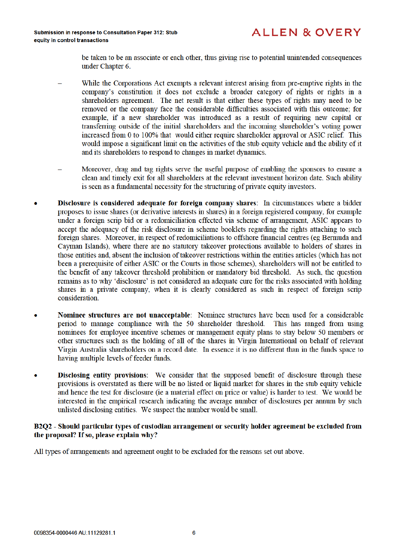be taken to be an associate or each other, thus giving rise to potential unintended consequences under Chapter 6.

- While the Corporations Act exempts a relevant interest arising from pre-emptive rights in the company's constitution it does not exclude a broader category of rights or rights in a shareholders agreement. The net result is that either these types of rights may need to be removed or the company face the considerable difficulties associated with this outcome; for example, if a new shareholder was introduced as a result of requiring new capital or transferring outside of the initial shareholders and the incoming shareholder's voting power increased from 0 to 100% that would either require shareholder approval or ASIC relief. This would impose a significant limit on the activities of the stub equity vehicle and the ability of it and its shareholders to respond to changes in market dynamics.
- Moreover, drag and tag rights serve the useful purpose of enabling the sponsors to ensure a clean and timely exit for all shareholders at the relevant investment horizon date. Such ability is seen as a fundamental necessity for the structuring of private equity investors.
- Disclosure is considered adequate for foreign company shares: In circumstances where a bidder proposes to issue shares (or derivative interests in shares) in a foreign registered company, for example under a foreign scrip bid or a redomiciliation effected via scheme of arrangement. ASIC appears to accept the adequacy of the risk disclosure in scheme booklets regarding the rights attaching to such foreign shares. Moreover, in respect of redomiciliations to offshore financial centres (eg Bermuda and Cayman Islands), where there are no statutory takeover protections available to holders of shares in those entities and, absent the inclusion of takeover restrictions within the entities articles (which has not been a prerequisite of either ASIC or the Courts in those schemes), shareholders will not be entitled to the benefit of any takeover threshold prohibition or mandatory bid threshold. As such, the question remains as to why 'disclosure' is not considered an adequate cure for the risks associated with holding shares in a private company, when it is clearly considered as such in respect of foreign scrip consideration.
- Nominee structures are not unacceptable: Nominee structures have been used for a considerable period to manage compliance with the 50 shareholder threshold. This has ranged from using nominees for employee incentive schemes or management equity plans to stay below 50 members or other structures such as the holding of all of the shares in Virgin International on behalf of relevant Virgin Australia shareholders on a record date. In essence it is no different than in the funds space to having multiple levels of feeder funds.
- **Disclosing entity provisions:** We consider that the supposed benefit of disclosure through these provisions is overstated as there will be no listed or liquid market for shares in the stub equity vehicle and hence the test for disclosure (ie a material effect on price or value) is harder to test. We would be interested in the empirical research indicating the average number of disclosures per annum by such unlisted disclosing entities. We suspect the number would be small.

### B2Q2 - Should particular types of custodian arrangement or security holder agreement be excluded from the proposal? If so, please explain why?

All types of arrangements and agreement ought to be excluded for the reasons set out above.